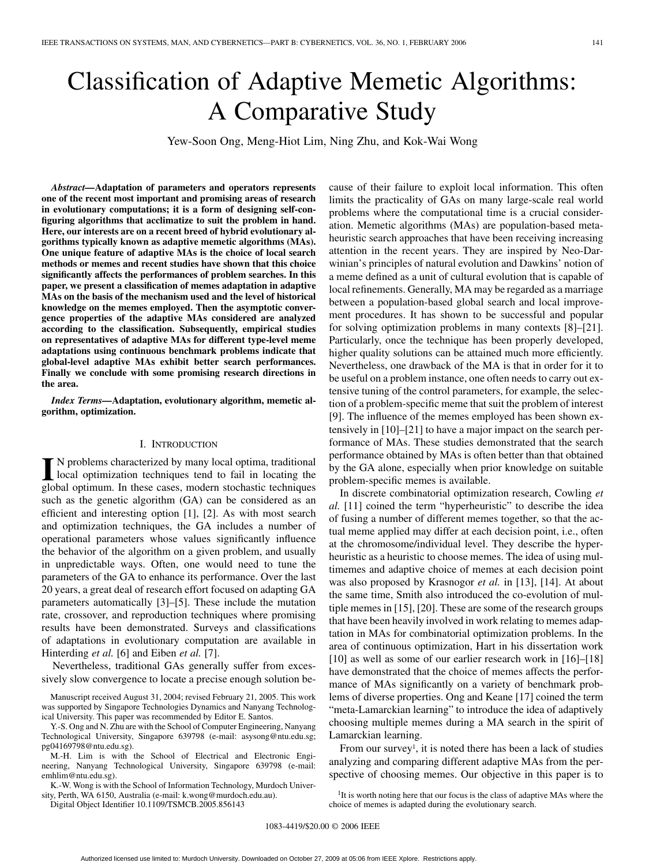# Classification of Adaptive Memetic Algorithms: A Comparative Study

Yew-Soon Ong, Meng-Hiot Lim, Ning Zhu, and Kok-Wai Wong

*Abstract—***Adaptation of parameters and operators represents one of the recent most important and promising areas of research in evolutionary computations; it is a form of designing self-configuring algorithms that acclimatize to suit the problem in hand. Here, our interests are on a recent breed of hybrid evolutionary algorithms typically known as adaptive memetic algorithms (MAs). One unique feature of adaptive MAs is the choice of local search methods or memes and recent studies have shown that this choice significantly affects the performances of problem searches. In this paper, we present a classification of memes adaptation in adaptive MAs on the basis of the mechanism used and the level of historical knowledge on the memes employed. Then the asymptotic convergence properties of the adaptive MAs considered are analyzed according to the classification. Subsequently, empirical studies on representatives of adaptive MAs for different type-level meme adaptations using continuous benchmark problems indicate that global-level adaptive MAs exhibit better search performances. Finally we conclude with some promising research directions in the area.**

*Index Terms—***Adaptation, evolutionary algorithm, memetic algorithm, optimization.**

## I. INTRODUCTION

I N problems characterized by many local optima, traditional<br>local optimization techniques tend to fail in locating the<br>clobal optimum. In these cases, modern stochastic techniques global optimum. In these cases, modern stochastic techniques such as the genetic algorithm (GA) can be considered as an efficient and interesting option [\[1](#page-9-0)], [\[2](#page-9-0)]. As with most search and optimization techniques, the GA includes a number of operational parameters whose values significantly influence the behavior of the algorithm on a given problem, and usually in unpredictable ways. Often, one would need to tune the parameters of the GA to enhance its performance. Over the last 20 years, a great deal of research effort focused on adapting GA parameters automatically [[3\]](#page-9-0)–[\[5](#page-10-0)]. These include the mutation rate, crossover, and reproduction techniques where promising results have been demonstrated. Surveys and classifications of adaptations in evolutionary computation are available in Hinterding *et al.* [\[6](#page-10-0)] and Eiben *et al.* [\[7](#page-10-0)].

Nevertheless, traditional GAs generally suffer from excessively slow convergence to locate a precise enough solution be-

Manuscript received August 31, 2004; revised February 21, 2005. This work was supported by Singapore Technologies Dynamics and Nanyang Technological University. This paper was recommended by Editor E. Santos.

Y.-S. Ong and N. Zhu are with the School of Computer Engineering, Nanyang Technological University, Singapore 639798 (e-mail: asysong@ntu.edu.sg; pg04169798@ntu.edu.sg).

M.-H. Lim is with the School of Electrical and Electronic Engineering, Nanyang Technological University, Singapore 639798 (e-mail: emhlim@ntu.edu.sg).

K.-W. Wong is with the School of Information Technology, Murdoch University, Perth, WA 6150, Australia (e-mail: k.wong@murdoch.edu.au).

Digital Object Identifier 10.1109/TSMCB.2005.856143

cause of their failure to exploit local information. This often limits the practicality of GAs on many large-scale real world problems where the computational time is a crucial consideration. Memetic algorithms (MAs) are population-based metaheuristic search approaches that have been receiving increasing attention in the recent years. They are inspired by Neo-Darwinian's principles of natural evolution and Dawkins' notion of a meme defined as a unit of cultural evolution that is capable of local refinements. Generally, MA may be regarded as a marriage between a population-based global search and local improvement procedures. It has shown to be successful and popular for solving optimization problems in many contexts [[8\]](#page-10-0)–[\[21](#page-10-0)]. Particularly, once the technique has been properly developed, higher quality solutions can be attained much more efficiently. Nevertheless, one drawback of the MA is that in order for it to be useful on a problem instance, one often needs to carry out extensive tuning of the control parameters, for example, the selection of a problem-specific meme that suit the problem of interest [\[9](#page-10-0)]. The influence of the memes employed has been shown extensively in [\[10](#page-10-0)]–[[21\]](#page-10-0) to have a major impact on the search performance of MAs. These studies demonstrated that the search performance obtained by MAs is often better than that obtained by the GA alone, especially when prior knowledge on suitable problem-specific memes is available.

In discrete combinatorial optimization research, Cowling *et al.* [\[11](#page-10-0)] coined the term "hyperheuristic" to describe the idea of fusing a number of different memes together, so that the actual meme applied may differ at each decision point, i.e., often at the chromosome/individual level. They describe the hyperheuristic as a heuristic to choose memes. The idea of using multimemes and adaptive choice of memes at each decision point was also proposed by Krasnogor *et al.* in [[13](#page-10-0)], [[14\]](#page-10-0). At about the same time, Smith also introduced the co-evolution of multiple memes in [[15\]](#page-10-0), [\[20](#page-10-0)]. These are some of the research groups that have been heavily involved in work relating to memes adaptation in MAs for combinatorial optimization problems. In the area of continuous optimization, Hart in his dissertation work [\[10](#page-10-0)] as well as some of our earlier research work in [\[16](#page-10-0)]–[[18\]](#page-10-0) have demonstrated that the choice of memes affects the performance of MAs significantly on a variety of benchmark problems of diverse properties. Ong and Keane [\[17\]](#page-10-0) coined the term "meta-Lamarckian learning" to introduce the idea of adaptively choosing multiple memes during a MA search in the spirit of Lamarckian learning.

From our survey<sup>1</sup>, it is noted there has been a lack of studies analyzing and comparing different adaptive MAs from the perspective of choosing memes. Our objective in this paper is to

<sup>1</sup>It is worth noting here that our focus is the class of adaptive MAs where the choice of memes is adapted during the evolutionary search.

1083-4419/\$20.00 © 2006 IEEE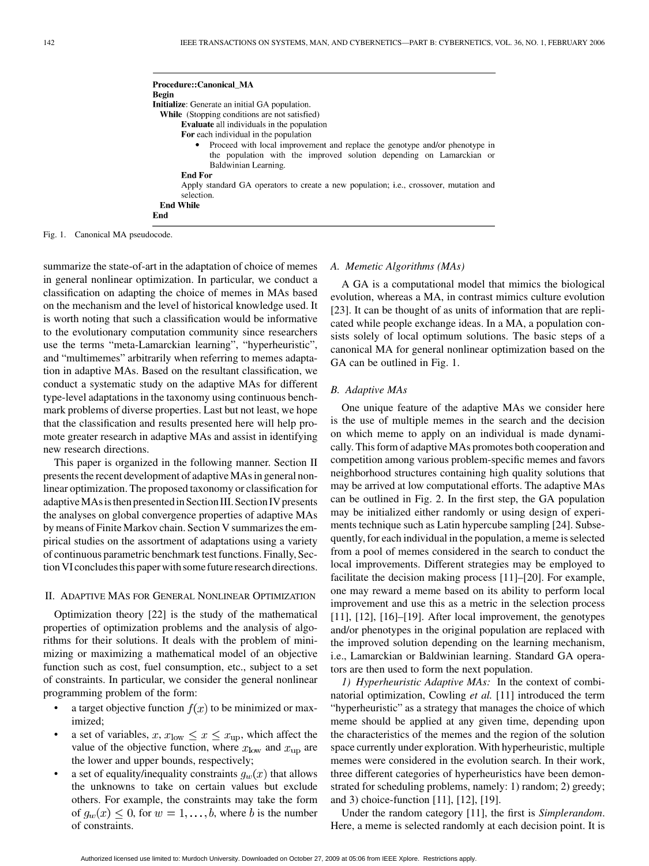|       | <b>Procedure::Canonical MA</b>                                                                |
|-------|-----------------------------------------------------------------------------------------------|
| Begin |                                                                                               |
|       | <b>Initialize:</b> Generate an initial GA population.                                         |
|       | <b>While</b> (Stopping conditions are not satisfied)                                          |
|       | <b>Evaluate</b> all individuals in the population                                             |
|       | For each individual in the population                                                         |
|       | Proceed with local improvement and replace the genotype and/or phenotype in<br>$\bullet$      |
|       | the population with the improved solution depending on Lamarckian or                          |
|       | Baldwinian Learning.                                                                          |
|       | <b>End For</b>                                                                                |
|       | Apply standard GA operators to create a new population; <i>i.e.</i> , crossover, mutation and |
|       | selection.                                                                                    |
|       | <b>End While</b>                                                                              |
| End   |                                                                                               |

Fig. 1. Canonical MA pseudocode.

summarize the state-of-art in the adaptation of choice of memes in general nonlinear optimization. In particular, we conduct a classification on adapting the choice of memes in MAs based on the mechanism and the level of historical knowledge used. It is worth noting that such a classification would be informative to the evolutionary computation community since researchers use the terms "meta-Lamarckian learning", "hyperheuristic", and "multimemes" arbitrarily when referring to memes adaptation in adaptive MAs. Based on the resultant classification, we conduct a systematic study on the adaptive MAs for different type-level adaptations in the taxonomy using continuous benchmark problems of diverse properties. Last but not least, we hope that the classification and results presented here will help promote greater research in adaptive MAs and assist in identifying new research directions.

This paper is organized in the following manner. Section II presents the recent development of adaptive MAs in general nonlinear optimization. The proposed taxonomy or classification for adaptive MAs is then presented in Section III. Section IV presents the analyses on global convergence properties of adaptive MAs by means of Finite Markov chain. Section V summarizes the empirical studies on the assortment of adaptations using a variety of continuous parametric benchmark test functions. Finally, Section VI concludes this paper with some future research directions.

## II. ADAPTIVE MAS FOR GENERAL NONLINEAR OPTIMIZATION

Optimization theory [[22\]](#page-10-0) is the study of the mathematical properties of optimization problems and the analysis of algorithms for their solutions. It deals with the problem of minimizing or maximizing a mathematical model of an objective function such as cost, fuel consumption, etc., subject to a set of constraints. In particular, we consider the general nonlinear programming problem of the form:

- a target objective function  $f(x)$  to be minimized or maximized;
- a set of variables,  $x, x_{\text{low}} \leq x \leq x_{\text{up}}$ , which affect the value of the objective function, where  $x_{\text{low}}$  and  $x_{\text{up}}$  are the lower and upper bounds, respectively;
- a set of equality/inequality constraints  $g_w(x)$  that allows the unknowns to take on certain values but exclude others. For example, the constraints may take the form of  $g_w(x) \leq 0$ , for  $w = 1, \ldots, b$ , where b is the number of constraints.

# *A. Memetic Algorithms (MAs)*

A GA is a computational model that mimics the biological evolution, whereas a MA, in contrast mimics culture evolution [[23\]](#page-10-0). It can be thought of as units of information that are replicated while people exchange ideas. In a MA, a population consists solely of local optimum solutions. The basic steps of a canonical MA for general nonlinear optimization based on the GA can be outlined in Fig. 1.

# *B. Adaptive MAs*

One unique feature of the adaptive MAs we consider here is the use of multiple memes in the search and the decision on which meme to apply on an individual is made dynamically. This form of adaptive MAs promotes both cooperation and competition among various problem-specific memes and favors neighborhood structures containing high quality solutions that may be arrived at low computational efforts. The adaptive MAs can be outlined in Fig. 2. In the first step, the GA population may be initialized either randomly or using design of experiments technique such as Latin hypercube sampling [[24\]](#page-10-0). Subsequently, for each individual in the population, a meme is selected from a pool of memes considered in the search to conduct the local improvements. Different strategies may be employed to facilitate the decision making process [[11\]](#page-10-0)–[\[20](#page-10-0)]. For example, one may reward a meme based on its ability to perform local improvement and use this as a metric in the selection process [[11\]](#page-10-0), [\[12](#page-10-0)], [[16\]](#page-10-0)–[[19](#page-10-0)]. After local improvement, the genotypes and/or phenotypes in the original population are replaced with the improved solution depending on the learning mechanism, i.e., Lamarckian or Baldwinian learning. Standard GA operators are then used to form the next population.

*1) Hyperheuristic Adaptive MAs:* In the context of combinatorial optimization, Cowling *et al.* [\[11](#page-10-0)] introduced the term "hyperheuristic" as a strategy that manages the choice of which meme should be applied at any given time, depending upon the characteristics of the memes and the region of the solution space currently under exploration. With hyperheuristic, multiple memes were considered in the evolution search. In their work, three different categories of hyperheuristics have been demonstrated for scheduling problems, namely: 1) random; 2) greedy; and 3) choice-function [\[11](#page-10-0)], [\[12](#page-10-0)], [[19\]](#page-10-0).

Under the random category [\[11](#page-10-0)], the first is *Simplerandom*. Here, a meme is selected randomly at each decision point. It is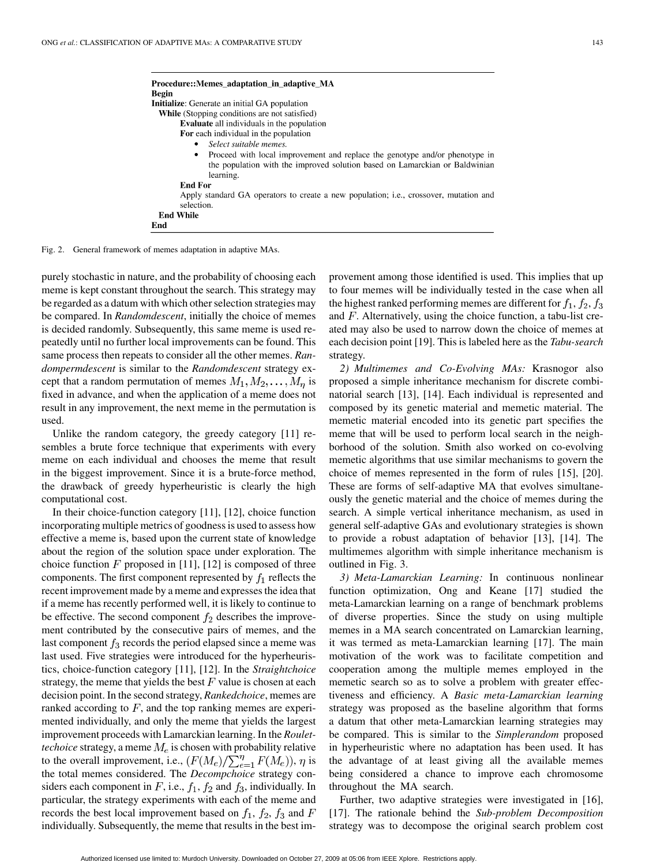| Procedure::Memes_adaptation_in_adaptive_MA<br>Begin                                                                                                                                  |
|--------------------------------------------------------------------------------------------------------------------------------------------------------------------------------------|
| <b>Initialize:</b> Generate an initial GA population                                                                                                                                 |
| While (Stopping conditions are not satisfied)                                                                                                                                        |
| <b>Evaluate</b> all individuals in the population                                                                                                                                    |
| For each individual in the population                                                                                                                                                |
| Select suitable memes.<br>$\bullet$                                                                                                                                                  |
| Proceed with local improvement and replace the genotype and/or phenotype in<br>$\bullet$<br>the population with the improved solution based on Lamarckian or Baldwinian<br>learning. |
| <b>End For</b>                                                                                                                                                                       |
| Apply standard GA operators to create a new population; i.e., crossover, mutation and<br>selection.                                                                                  |
| <b>End While</b>                                                                                                                                                                     |
| End                                                                                                                                                                                  |

Fig. 2. General framework of memes adaptation in adaptive MAs.

purely stochastic in nature, and the probability of choosing each meme is kept constant throughout the search. This strategy may be regarded as a datum with which other selection strategies may be compared. In *Randomdescent*, initially the choice of memes is decided randomly. Subsequently, this same meme is used repeatedly until no further local improvements can be found. This same process then repeats to consider all the other memes. *Randompermdescent* is similar to the *Randomdescent* strategy except that a random permutation of memes  $M_1, M_2, \ldots, M_n$  is fixed in advance, and when the application of a meme does not result in any improvement, the next meme in the permutation is used.

Unlike the random category, the greedy category [[11\]](#page-10-0) resembles a brute force technique that experiments with every meme on each individual and chooses the meme that result in the biggest improvement. Since it is a brute-force method, the drawback of greedy hyperheuristic is clearly the high computational cost.

In their choice-function category [\[11](#page-10-0)], [\[12](#page-10-0)], choice function incorporating multiple metrics of goodness is used to assess how effective a meme is, based upon the current state of knowledge about the region of the solution space under exploration. The choice function  $F$  proposed in [\[11](#page-10-0)], [\[12](#page-10-0)] is composed of three components. The first component represented by  $f_1$  reflects the recent improvement made by a meme and expresses the idea that if a meme has recently performed well, it is likely to continue to be effective. The second component  $f_2$  describes the improvement contributed by the consecutive pairs of memes, and the last component  $f_3$  records the period elapsed since a meme was last used. Five strategies were introduced for the hyperheuristics, choice-function category [[11\]](#page-10-0), [[12\]](#page-10-0). In the *Straightchoice* strategy, the meme that yields the best  $F$  value is chosen at each decision point. In the second strategy, *Rankedchoice*, memes are ranked according to  $F$ , and the top ranking memes are experimented individually, and only the meme that yields the largest improvement proceeds with Lamarckian learning. In the *Roulettechoice* strategy, a meme  $M_e$  is chosen with probability relative to the overall improvement, i.e.,  $(F(M_e)/\sum_{e=1}^{\eta} F(M_e))$ ,  $\eta$  is the total memes considered. The *Decompchoice* strategy considers each component in  $F$ , i.e.,  $f_1$ ,  $f_2$  and  $f_3$ , individually. In particular, the strategy experiments with each of the meme and records the best local improvement based on  $f_1$ ,  $f_2$ ,  $f_3$  and F individually. Subsequently, the meme that results in the best improvement among those identified is used. This implies that up to four memes will be individually tested in the case when all the highest ranked performing memes are different for  $f_1, f_2, f_3$ and  $F$ . Alternatively, using the choice function, a tabu-list created may also be used to narrow down the choice of memes at each decision point [[19\]](#page-10-0). This is labeled here as the *Tabu-search* strategy.

*2) Multimemes and Co-Evolving MAs:* Krasnogor also proposed a simple inheritance mechanism for discrete combinatorial search [[13\]](#page-10-0), [[14\]](#page-10-0). Each individual is represented and composed by its genetic material and memetic material. The memetic material encoded into its genetic part specifies the meme that will be used to perform local search in the neighborhood of the solution. Smith also worked on co-evolving memetic algorithms that use similar mechanisms to govern the choice of memes represented in the form of rules [[15\]](#page-10-0), [\[20](#page-10-0)]. These are forms of self-adaptive MA that evolves simultaneously the genetic material and the choice of memes during the search. A simple vertical inheritance mechanism, as used in general self-adaptive GAs and evolutionary strategies is shown to provide a robust adaptation of behavior [[13\]](#page-10-0), [[14\]](#page-10-0). The multimemes algorithm with simple inheritance mechanism is outlined in Fig. 3.

*3) Meta-Lamarckian Learning:* In continuous nonlinear function optimization, Ong and Keane [\[17](#page-10-0)] studied the meta-Lamarckian learning on a range of benchmark problems of diverse properties. Since the study on using multiple memes in a MA search concentrated on Lamarckian learning, it was termed as meta-Lamarckian learning [[17\]](#page-10-0). The main motivation of the work was to facilitate competition and cooperation among the multiple memes employed in the memetic search so as to solve a problem with greater effectiveness and efficiency. A *Basic meta-Lamarckian learning* strategy was proposed as the baseline algorithm that forms a datum that other meta-Lamarckian learning strategies may be compared. This is similar to the *Simplerandom* proposed in hyperheuristic where no adaptation has been used. It has the advantage of at least giving all the available memes being considered a chance to improve each chromosome throughout the MA search.

Further, two adaptive strategies were investigated in [\[16](#page-10-0)], [\[17](#page-10-0)]. The rationale behind the *Sub-problem Decomposition* strategy was to decompose the original search problem cost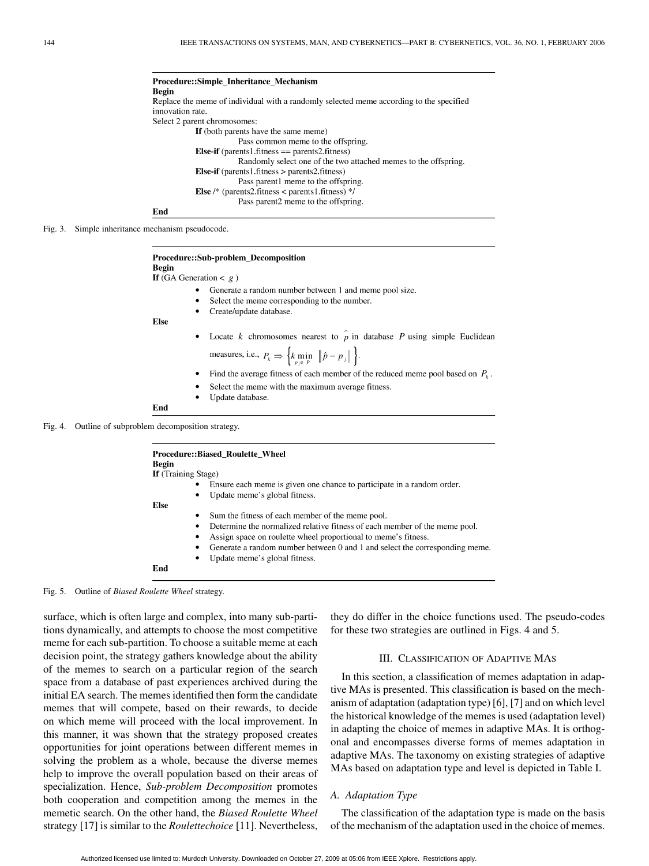| Procedure::Simple Inheritance Mechanism<br>Begin                                        |
|-----------------------------------------------------------------------------------------|
| Replace the meme of individual with a randomly selected meme according to the specified |
| innovation rate.<br>Select 2 parent chromosomes:                                        |
| If (both parents have the same meme)                                                    |
| Pass common meme to the offspring.                                                      |
| <b>Else-if</b> (parents1.fitness $==$ parents2.fitness)                                 |
| Randomly select one of the two attached memes to the offspring.                         |
| <b>Else-if</b> (parents1.fitness $>$ parents2.fitness)                                  |
| Pass parent meme to the offspring.                                                      |
| <b>Else</b> /* (parents2.fitness < parents1.fitness) */                                 |
| Pass parent2 meme to the offspring.                                                     |
| End                                                                                     |

Fig. 3. Simple inheritance mechanism pseudocode.

Procedure::Sub-problem\_Decomposition **Begin** If (GA Generation  $\lt g$ ) Generate a random number between 1 and meme pool size. Select the meme corresponding to the number. Create/update database. Else Locate  $k$  chromosomes nearest to  $p$  in database  $P$  using simple Euclidean measures, i.e.,  $P_k \Rightarrow \left\{ k \min_{p_i \in P} \|\hat{p} - p_j\| \right\}$ Find the average fitness of each member of the reduced meme pool based on  $P_k$ . Select the meme with the maximum average fitness. Update database. End

Fig. 4. Outline of subproblem decomposition strategy.

|       | <b>Procedure::Biased Roulette Wheel</b>                                            |
|-------|------------------------------------------------------------------------------------|
| Begin |                                                                                    |
|       | If (Training Stage)                                                                |
|       | Ensure each meme is given one chance to participate in a random order.             |
|       | Update meme's global fitness.<br>٠                                                 |
| Else  |                                                                                    |
|       | Sum the fitness of each member of the meme pool.<br>٠                              |
|       | Determine the normalized relative fitness of each member of the meme pool.         |
|       | Assign space on roulette wheel proportional to meme's fitness.                     |
|       | Generate a random number between 0 and 1 and select the corresponding memoral<br>٠ |
|       | Update meme's global fitness.<br>٠                                                 |
| End   |                                                                                    |

Fig. 5. Outline of *Biased Roulette Wheel* strategy.

surface, which is often large and complex, into many sub-partitions dynamically, and attempts to choose the most competitive meme for each sub-partition. To choose a suitable meme at each decision point, the strategy gathers knowledge about the ability of the memes to search on a particular region of the search space from a database of past experiences archived during the initial EA search. The memes identified then form the candidate memes that will compete, based on their rewards, to decide on which meme will proceed with the local improvement. In this manner, it was shown that the strategy proposed creates opportunities for joint operations between different memes in solving the problem as a whole, because the diverse memes help to improve the overall population based on their areas of specialization. Hence, *Sub-problem Decomposition* promotes both cooperation and competition among the memes in the memetic search. On the other hand, the *Biased Roulette Wheel* strategy [\[17](#page-10-0)] is similar to the *Roulettechoice* [\[11](#page-10-0)]. Nevertheless, they do differ in the choice functions used. The pseudo-codes for these two strategies are outlined in Figs. 4 and 5.

#### III. CLASSIFICATION OF ADAPTIVE MAS

In this section, a classification of memes adaptation in adaptive MAs is presented. This classification is based on the mechanism of adaptation (adaptation type) [\[6](#page-10-0)], [\[7](#page-10-0)] and on which level the historical knowledge of the memes is used (adaptation level) in adapting the choice of memes in adaptive MAs. It is orthogonal and encompasses diverse forms of memes adaptation in adaptive MAs. The taxonomy on existing strategies of adaptive MAs based on adaptation type and level is depicted in Table I.

## *A. Adaptation Type*

The classification of the adaptation type is made on the basis of the mechanism of the adaptation used in the choice of memes.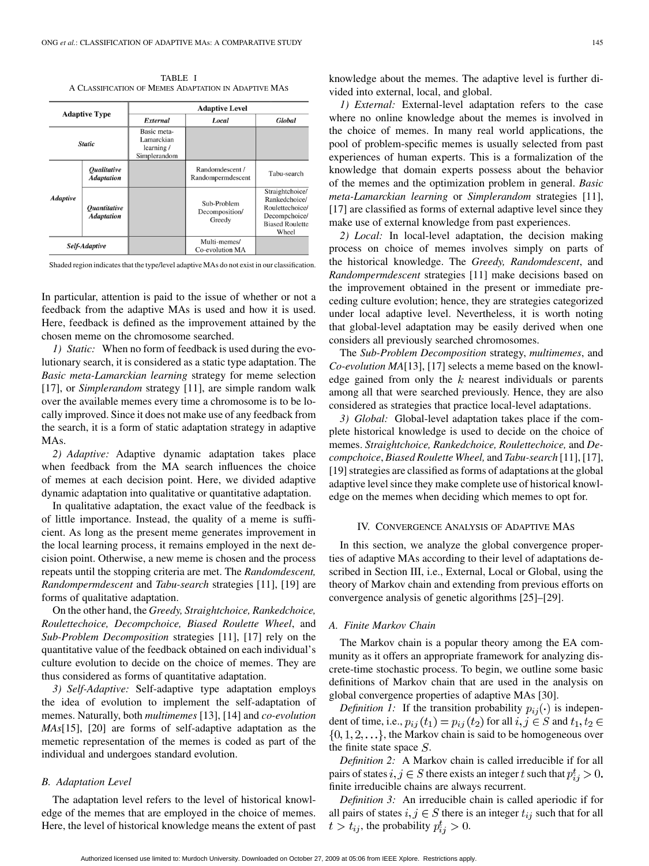TABLE I A CLASSIFICATION OF MEMES ADAPTATION IN ADAPTIVE MAS

| <b>Adaptive Type</b> |                                                 | <b>Adaptive Level</b>                                  |                                         |                                                                                                         |  |  |  |  |
|----------------------|-------------------------------------------------|--------------------------------------------------------|-----------------------------------------|---------------------------------------------------------------------------------------------------------|--|--|--|--|
|                      |                                                 | External                                               | Local                                   | Global                                                                                                  |  |  |  |  |
| <b>Static</b>        |                                                 | Basic meta-<br>Lamarckian<br>learning/<br>Simplerandom |                                         |                                                                                                         |  |  |  |  |
| <b>Adaptive</b>      | <i><b>Oualitative</b></i><br><b>Adaptation</b>  |                                                        | Randomdescent /<br>Randompermdescent    | Tabu-search                                                                                             |  |  |  |  |
|                      | <i><b>Ouantitative</b></i><br><b>Adaptation</b> |                                                        | Sub-Problem<br>Decomposition/<br>Greedy | Straightchoice/<br>Rankedchoice/<br>Roulettechoice/<br>Decompchoice/<br><b>Biased Roulette</b><br>Wheel |  |  |  |  |
|                      | Self-Adaptive                                   |                                                        | Multi-memes/<br>Co-evolution MA         |                                                                                                         |  |  |  |  |

Shaded region indicates that the type/level adaptive MAs do not exist in our classification.

In particular, attention is paid to the issue of whether or not a feedback from the adaptive MAs is used and how it is used. Here, feedback is defined as the improvement attained by the chosen meme on the chromosome searched.

*1) Static:* When no form of feedback is used during the evolutionary search, it is considered as a static type adaptation. The *Basic meta-Lamarckian learning* strategy for meme selection [\[17](#page-10-0)], or *Simplerandom* strategy [[11\]](#page-10-0), are simple random walk over the available memes every time a chromosome is to be locally improved. Since it does not make use of any feedback from the search, it is a form of static adaptation strategy in adaptive MAs.

*2) Adaptive:* Adaptive dynamic adaptation takes place when feedback from the MA search influences the choice of memes at each decision point. Here, we divided adaptive dynamic adaptation into qualitative or quantitative adaptation.

In qualitative adaptation, the exact value of the feedback is of little importance. Instead, the quality of a meme is sufficient. As long as the present meme generates improvement in the local learning process, it remains employed in the next decision point. Otherwise, a new meme is chosen and the process repeats until the stopping criteria are met. The *Randomdescent, Randompermdescent* and *Tabu-search* strategies [\[11](#page-10-0)], [[19\]](#page-10-0) are forms of qualitative adaptation.

On the other hand, the *Greedy, Straightchoice, Rankedchoice, Roulettechoice, Decompchoice, Biased Roulette Wheel*, and *Sub-Problem Decomposition* strategies [\[11](#page-10-0)], [\[17](#page-10-0)] rely on the quantitative value of the feedback obtained on each individual's culture evolution to decide on the choice of memes. They are thus considered as forms of quantitative adaptation.

*3) Self-Adaptive:* Self-adaptive type adaptation employs the idea of evolution to implement the self-adaptation of memes. Naturally, both *multimemes* [[13\]](#page-10-0), [\[14](#page-10-0)] and *co-evolution MAs*[[15\]](#page-10-0), [[20\]](#page-10-0) are forms of self-adaptive adaptation as the memetic representation of the memes is coded as part of the individual and undergoes standard evolution.

## *B. Adaptation Level*

The adaptation level refers to the level of historical knowledge of the memes that are employed in the choice of memes. Here, the level of historical knowledge means the extent of past knowledge about the memes. The adaptive level is further divided into external, local, and global.

*1) External:* External-level adaptation refers to the case where no online knowledge about the memes is involved in the choice of memes. In many real world applications, the pool of problem-specific memes is usually selected from past experiences of human experts. This is a formalization of the knowledge that domain experts possess about the behavior of the memes and the optimization problem in general. *Basic meta-Lamarckian learning* or *Simplerandom* strategies [\[11](#page-10-0)], [\[17](#page-10-0)] are classified as forms of external adaptive level since they make use of external knowledge from past experiences.

*2) Local:* In local-level adaptation, the decision making process on choice of memes involves simply on parts of the historical knowledge. The *Greedy, Randomdescent*, and *Randompermdescent* strategies [[11\]](#page-10-0) make decisions based on the improvement obtained in the present or immediate preceding culture evolution; hence, they are strategies categorized under local adaptive level. Nevertheless, it is worth noting that global-level adaptation may be easily derived when one considers all previously searched chromosomes.

The *Sub-Problem Decomposition* strategy, *multimemes*, and *Co-evolution MA*[\[13\]](#page-10-0), [\[17](#page-10-0)] selects a meme based on the knowledge gained from only the  $k$  nearest individuals or parents among all that were searched previously. Hence, they are also considered as strategies that practice local-level adaptations.

*3) Global:* Global-level adaptation takes place if the complete historical knowledge is used to decide on the choice of memes. *Straightchoice, Rankedchoice, Roulettechoice,* and *Decompchoice*, *Biased Roulette Wheel,* and *Tabu-search* [[11\]](#page-10-0), [\[17](#page-10-0)], [\[19](#page-10-0)] strategies are classified as forms of adaptations at the global adaptive level since they make complete use of historical knowledge on the memes when deciding which memes to opt for.

#### IV. CONVERGENCE ANALYSIS OF ADAPTIVE MAS

In this section, we analyze the global convergence properties of adaptive MAs according to their level of adaptations described in Section III, i.e., External, Local or Global, using the theory of Markov chain and extending from previous efforts on convergence analysis of genetic algorithms [[25\]](#page-10-0)–[\[29](#page-10-0)].

#### *A. Finite Markov Chain*

The Markov chain is a popular theory among the EA community as it offers an appropriate framework for analyzing discrete-time stochastic process. To begin, we outline some basic definitions of Markov chain that are used in the analysis on global convergence properties of adaptive MAs [[30\]](#page-10-0).

*Definition 1:* If the transition probability  $p_{ij}(\cdot)$  is independent of time, i.e.,  $p_{ij}(t_1) = p_{ij}(t_2)$  for all  $i, j \in S$  and  $t_1, t_2 \in S$  $\{0, 1, 2, \ldots\}$ , the Markov chain is said to be homogeneous over the finite state space  $S$ .

*Definition 2:* A Markov chain is called irreducible if for all pairs of states  $i, j \in S$  there exists an integer t such that  $p_{ij}^t > 0$ . finite irreducible chains are always recurrent.

*Definition 3:* An irreducible chain is called aperiodic if for all pairs of states  $i, j \in S$  there is an integer  $t_{ij}$  such that for all  $t > t_{ij}$ , the probability  $p_{ij}^t > 0$ .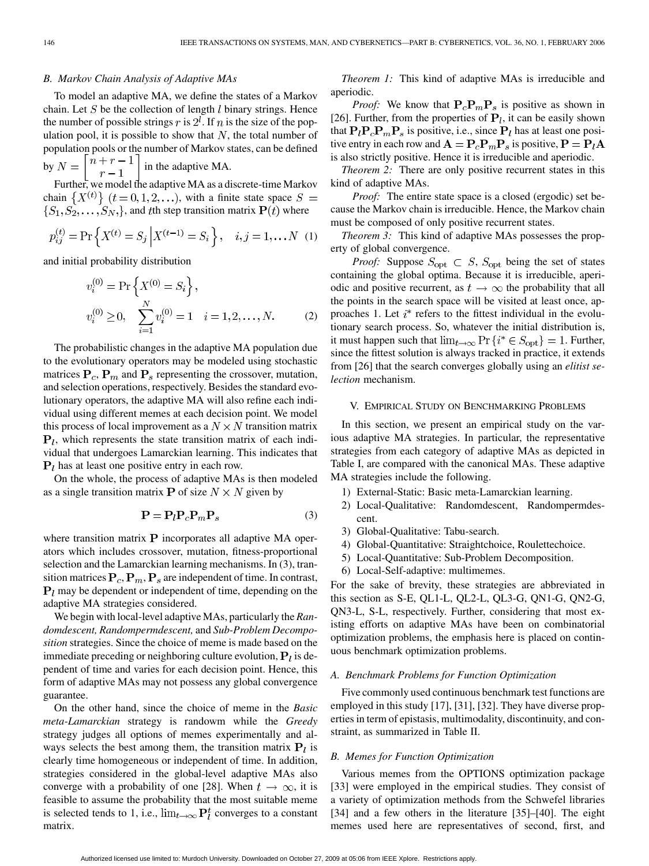## *B. Markov Chain Analysis of Adaptive MAs*

To model an adaptive MA, we define the states of a Markov chain. Let  $S$  be the collection of length  $l$  binary strings. Hence the number of possible strings r is  $2^l$ . If n is the size of the population pool, it is possible to show that  $N$ , the total number of population pools or the number of Markov states, can be defined

by  $N = \begin{bmatrix} 1 & 1 \\ 1 & 1 \end{bmatrix}$  in the adaptive MA.

Further, we model the adaptive MA as a discrete-time Markov chain  $\{X^{(t)}\}\ (t=0,1,2,...),$  with a finite state space  $S=$  $\{S_1, S_2, \ldots, S_N\}$ , and the step transition matrix  $P(t)$  where

$$
p_{ij}^{(t)} = \Pr\left\{X^{(t)} = S_j \middle| X^{(t-1)} = S_i\right\}, \quad i, j = 1, \dots N \tag{1}
$$

and initial probability distribution

$$
v_i^{(0)} = \Pr\left\{X^{(0)} = S_i\right\},
$$
  

$$
v_i^{(0)} \ge 0, \quad \sum_{i=1}^N v_i^{(0)} = 1 \quad i = 1, 2, ..., N. \tag{2}
$$

The probabilistic changes in the adaptive MA population due to the evolutionary operators may be modeled using stochastic matrices  $P_c$ ,  $P_m$  and  $P_s$  representing the crossover, mutation, and selection operations, respectively. Besides the standard evolutionary operators, the adaptive MA will also refine each individual using different memes at each decision point. We model this process of local improvement as a  $N \times N$  transition matrix  $P_l$ , which represents the state transition matrix of each individual that undergoes Lamarckian learning. This indicates that  $P_l$  has at least one positive entry in each row.

On the whole, the process of adaptive MAs is then modeled as a single transition matrix **P** of size  $N \times N$  given by

$$
\mathbf{P} = \mathbf{P}_l \mathbf{P}_c \mathbf{P}_m \mathbf{P}_s \tag{3}
$$

where transition matrix  $P$  incorporates all adaptive MA operators which includes crossover, mutation, fitness-proportional selection and the Lamarckian learning mechanisms. In (3), transition matrices  $P_c$ ,  $P_m$ ,  $P_s$  are independent of time. In contrast,  $P_l$  may be dependent or independent of time, depending on the adaptive MA strategies considered.

We begin with local-level adaptive MAs, particularly the *Randomdescent, Randompermdescent,* and *Sub-Problem Decomposition* strategies. Since the choice of meme is made based on the immediate preceding or neighboring culture evolution,  $P_l$  is dependent of time and varies for each decision point. Hence, this form of adaptive MAs may not possess any global convergence guarantee.

On the other hand, since the choice of meme in the *Basic meta-Lamarckian* strategy is randowm while the *Greedy* strategy judges all options of memes experimentally and always selects the best among them, the transition matrix  $P_l$  is clearly time homogeneous or independent of time. In addition, strategies considered in the global-level adaptive MAs also converge with a probability of one [\[28](#page-10-0)]. When  $t \to \infty$ , it is feasible to assume the probability that the most suitable meme is selected tends to 1, i.e.,  $\lim_{t\to\infty} P_l^t$  converges to a constant matrix.

*Theorem 1:* This kind of adaptive MAs is irreducible and aperiodic.

*Proof:* We know that  $P_cP_mP_s$  is positive as shown in [[26\]](#page-10-0). Further, from the properties of  $P_l$ , it can be easily shown that  $P_l P_c P_m P_s$  is positive, i.e., since  $P_l$  has at least one positive entry in each row and  $\mathbf{A} = \mathbf{P}_c \mathbf{P}_m \mathbf{P}_s$  is positive,  $\mathbf{P} = \mathbf{P}_l \mathbf{A}$ is also strictly positive. Hence it is irreducible and aperiodic.

*Theorem 2:* There are only positive recurrent states in this kind of adaptive MAs.

*Proof:* The entire state space is a closed (ergodic) set because the Markov chain is irreducible. Hence, the Markov chain must be composed of only positive recurrent states.

*Theorem 3:* This kind of adaptive MAs possesses the property of global convergence.

*Proof:* Suppose  $S_{opt} \subset S$ ,  $S_{opt}$  being the set of states containing the global optima. Because it is irreducible, aperiodic and positive recurrent, as  $t \to \infty$  the probability that all the points in the search space will be visited at least once, approaches 1. Let  $i^*$  refers to the fittest individual in the evolutionary search process. So, whatever the initial distribution is, it must happen such that  $\lim_{t\to\infty} \Pr\{i^* \in S_{\text{opt}}\} = 1$ . Further, since the fittest solution is always tracked in practice, it extends from [[26\]](#page-10-0) that the search converges globally using an *elitist selection* mechanism.

#### V. EMPIRICAL STUDY ON BENCHMARKING PROBLEMS

In this section, we present an empirical study on the various adaptive MA strategies. In particular, the representative strategies from each category of adaptive MAs as depicted in Table I, are compared with the canonical MAs. These adaptive MA strategies include the following.

- 1) External-Static: Basic meta-Lamarckian learning.
- 2) Local-Qualitative: Randomdescent, Randompermdescent.
- 3) Global-Qualitative: Tabu-search.
- 4) Global-Quantitative: Straightchoice, Roulettechoice.
- 5) Local-Quantitative: Sub-Problem Decomposition.
- 6) Local-Self-adaptive: multimemes.

For the sake of brevity, these strategies are abbreviated in this section as S-E, QL1-L, QL2-L, QL3-G, QN1-G, QN2-G, QN3-L, S-L, respectively. Further, considering that most existing efforts on adaptive MAs have been on combinatorial optimization problems, the emphasis here is placed on continuous benchmark optimization problems.

## *A. Benchmark Problems for Function Optimization*

Five commonly used continuous benchmark test functions are employed in this study [[17\]](#page-10-0), [[31\]](#page-10-0), [\[32](#page-10-0)]. They have diverse properties in term of epistasis, multimodality, discontinuity, and constraint, as summarized in Table II.

## *B. Memes for Function Optimization*

Various memes from the OPTIONS optimization package [[33\]](#page-10-0) were employed in the empirical studies. They consist of a variety of optimization methods from the Schwefel libraries [[34\]](#page-10-0) and a few others in the literature [[35\]](#page-10-0)–[[40\]](#page-10-0). The eight memes used here are representatives of second, first, and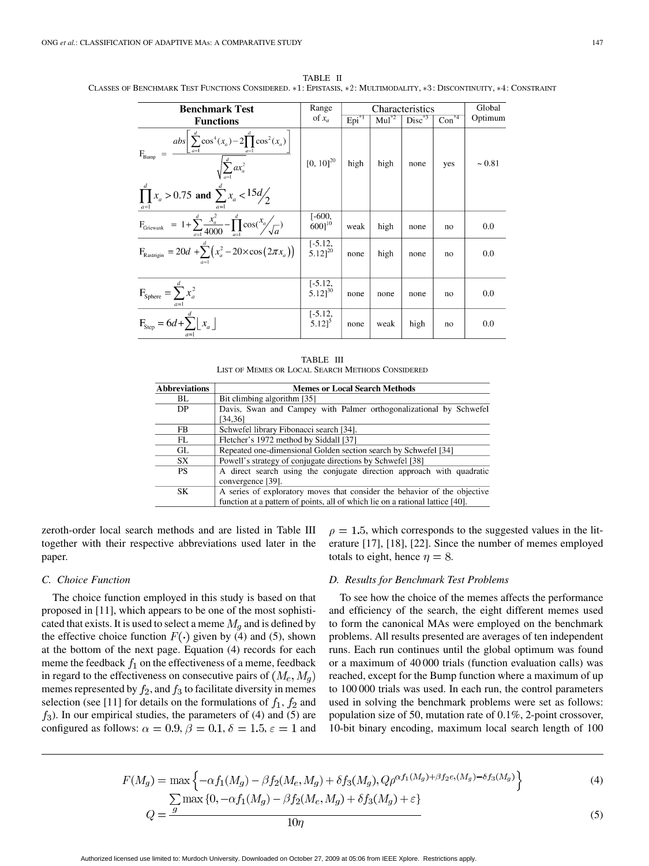| <b>Benchmark Test</b>                                                                                                                                     | Range                   |                      | Global  |                 |         |           |
|-----------------------------------------------------------------------------------------------------------------------------------------------------------|-------------------------|----------------------|---------|-----------------|---------|-----------|
| <b>Functions</b>                                                                                                                                          | of $x_a$                | $Epi^*$ <sup>1</sup> | $Mul*2$ | $Disc^{\ast 3}$ | $Con*4$ | Optimum   |
| $\mathbf{F}_{\text{Bump}} = \frac{abs \left[ \sum_{a=1}^{d} cos^{4}(x_{a}) - 2 \prod_{a=1}^{d} cos^{2}(x_{a}) \right]}{\sqrt{\sum_{a=1}^{d} ax_{a}^{2}}}$ | $[0, 10]^{20}$          | high                 | high    | none            | yes     | $~1$ 0.81 |
| $\prod_{a}^{a} x_{a} > 0.75$ and $\sum_{a}^{d} x_{a} < 15d/2$                                                                                             |                         |                      |         |                 |         |           |
| $F_{\text{Griewank}} = 1 + \sum_{\alpha=1}^{d} \frac{x_{\alpha}^{2}}{4000} - \prod_{\alpha=1}^{d} \cos(\frac{x_{\alpha}}{\sqrt{a}})$                      | $[-600,$<br>$6001^{10}$ | weak                 | high    | none            | no      | 0.0       |
| $F_{\text{Rastrigin}} = 20d + \sum_{a}^{\infty} (x_a^2 - 20 \times \cos(2\pi x_a))$                                                                       | $[-5.12, 5.12]^{20}$    | none                 | high    | none            | no      | 0.0       |
| $F_{\text{sphere}} = \sum_{a=1}^{a} x_a^2$                                                                                                                | $[-5.12, 5.12]^{30}$    | none                 | none    | none            | no      | 0.0       |
| $F_{\text{Step}} = 6d + \sum x_a$<br>$a=$                                                                                                                 | $[-5.12, 5.12]$         | none                 | weak    | high            | no      | 0.0       |

TABLE II CLASSES OF BENCHMARK TEST FUNCTIONS CONSIDERED. \*1: EPISTASIS, \*2: MULTIMODALITY, \*3: DISCONTINUITY, \*4: CONSTRAINT

TABLE III LIST OF MEMES OR LOCAL SEARCH METHODS CONSIDERED

| <b>Abbreviations</b> | <b>Memes or Local Search Methods</b>                                          |
|----------------------|-------------------------------------------------------------------------------|
| BL.                  | Bit climbing algorithm [35]                                                   |
| DP                   | Davis, Swan and Campey with Palmer orthogonalizational by Schwefel            |
|                      | [34.36]                                                                       |
| FB                   | Schwefel library Fibonacci search [34].                                       |
| FL                   | Fletcher's 1972 method by Siddall [37]                                        |
| GL.                  | Repeated one-dimensional Golden section search by Schwefel [34]               |
| SX.                  | Powell's strategy of conjugate directions by Schwefel [38]                    |
| <b>PS</b>            | A direct search using the conjugate direction approach with quadratic         |
|                      | convergence [39].                                                             |
| SK                   | A series of exploratory moves that consider the behavior of the objective     |
|                      | function at a pattern of points, all of which lie on a rational lattice [40]. |

zeroth-order local search methods and are listed in Table III together with their respective abbreviations used later in the paper.

# *C. Choice Function*

The choice function employed in this study is based on that proposed in [[11\]](#page-10-0), which appears to be one of the most sophisticated that exists. It is used to select a meme  $M<sub>q</sub>$  and is defined by the effective choice function  $F(\cdot)$  given by (4) and (5), shown at the bottom of the next page. Equation (4) records for each meme the feedback  $f_1$  on the effectiveness of a meme, feedback in regard to the effectiveness on consecutive pairs of  $(M_e, M_q)$ memes represented by  $f_2$ , and  $f_3$  to facilitate diversity in memes selection (see [\[11](#page-10-0)] for details on the formulations of  $f_1$ ,  $f_2$  and  $f_3$ ). In our empirical studies, the parameters of (4) and (5) are configured as follows:  $\alpha = 0.9$ ,  $\beta = 0.1$ ,  $\delta = 1.5$ ,  $\varepsilon = 1$  and

 $\rho = 1.5$ , which corresponds to the suggested values in the literature [[17\]](#page-10-0), [[18\]](#page-10-0), [[22\]](#page-10-0). Since the number of memes employed totals to eight, hence  $\eta = 8$ .

## *D. Results for Benchmark Test Problems*

To see how the choice of the memes affects the performance and efficiency of the search, the eight different memes used to form the canonical MAs were employed on the benchmark problems. All results presented are averages of ten independent runs. Each run continues until the global optimum was found or a maximum of 40 000 trials (function evaluation calls) was reached, except for the Bump function where a maximum of up to 100 000 trials was used. In each run, the control parameters used in solving the benchmark problems were set as follows: population size of 50, mutation rate of 0.1%, 2-point crossover, 10-bit binary encoding, maximum local search length of 100

$$
F(M_g) = \max \left\{ -\alpha f_1(M_g) - \beta f_2(M_e, M_g) + \delta f_3(M_g), Q \rho^{\alpha f_1(M_g) + \beta f_2 e, (M_g) - \delta f_3(M_g)} \right\}
$$
(4)  

$$
Q = \frac{\sum_{g} \max \left\{ 0, -\alpha f_1(M_g) - \beta f_2(M_e, M_g) + \delta f_3(M_g) + \varepsilon \right\}}{10\eta}
$$
(5)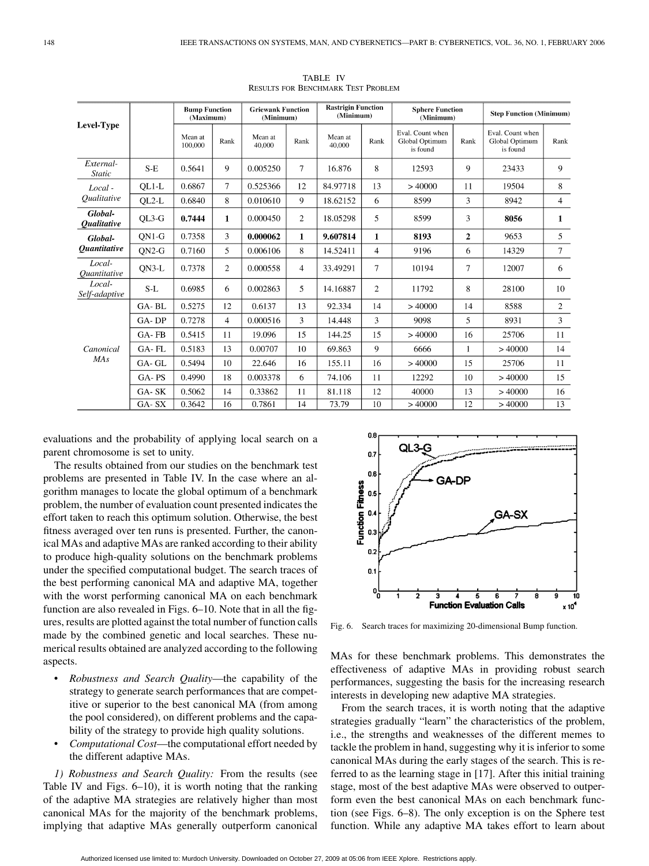|                               |          | <b>Bump Function</b><br>(Maximum) |      | <b>Griewank Function</b><br>(Minimum) |                | <b>Rastrigin Function</b><br>(Minimum) |                | <b>Sphere Function</b><br>(Minimum)            |                | <b>Step Function (Minimum)</b>                 |                |
|-------------------------------|----------|-----------------------------------|------|---------------------------------------|----------------|----------------------------------------|----------------|------------------------------------------------|----------------|------------------------------------------------|----------------|
| <b>Level Type</b>             |          | Mean at<br>100,000                | Rank | Mean at<br>40.000                     | Rank           | Mean at<br>40,000                      | Rank           | Eval. Count when<br>Global Optimum<br>is found | Rank           | Eval. Count when<br>Global Optimum<br>is found | Rank           |
| External-<br><b>Static</b>    | $S-E$    | 0.5641                            | 9    | 0.005250                              | 7              | 16.876                                 | 8              | 12593                                          | 9              | 23433                                          | 9              |
| Local -                       | QL1-L    | 0.6867                            | 7    | 0.525366                              | 12             | 84.97718                               | 13             | >40000                                         | 11             | 19504                                          | 8              |
| <i><b>Oualitative</b></i>     | $QL2-L$  | 0.6840                            | 8    | 0.010610                              | 9              | 18.62152                               | 6              | 8599                                           | 3              | 8942                                           | $\overline{4}$ |
| Global-<br><i>Qualitative</i> | $QL3-G$  | 0.7444                            | 1    | 0.000450                              | $\overline{2}$ | 18.05298                               | 5              | 8599                                           | 3              | 8056                                           | 1              |
| Global-                       | $QN1-G$  | 0.7358                            | 3    | 0.000062                              | $\mathbf{1}$   | 9.607814                               | $\mathbf{1}$   | 8193                                           | $\overline{2}$ | 9653                                           | 5              |
| <i><b>Ouantitative</b></i>    | $ON2-G$  | 0.7160                            | 5    | 0.006106                              | 8              | 14.52411                               | $\overline{4}$ | 9196                                           | 6              | 14329                                          | $\tau$         |
| Local-<br>Quantitative        | $ON3-L$  | 0.7378                            | 2    | 0.000558                              | $\overline{4}$ | 33.49291                               | $\overline{7}$ | 10194                                          | $\overline{7}$ | 12007                                          | 6              |
| Local-<br>Self-adaptive       | $S-L$    | 0.6985                            | 6    | 0.002863                              | 5              | 14.16887                               | $\overline{2}$ | 11792                                          | 8              | 28100                                          | 10             |
|                               | GA-BL    | 0.5275                            | 12   | 0.6137                                | 13             | 92.334                                 | 14             | >40000                                         | 14             | 8588                                           | $\overline{2}$ |
|                               | GA-DP    | 0.7278                            | 4    | 0.000516                              | 3              | 14.448                                 | 3              | 9098                                           | 5              | 8931                                           | $\overline{3}$ |
| Canonical<br>MAs              | GA-FB    | 0.5415                            | 11   | 19.096                                | 15             | 144.25                                 | 15             | >40000                                         | 16             | 25706                                          | 11             |
|                               | $GA-FI.$ | 0.5183                            | 13   | 0.00707                               | 10             | 69.863                                 | 9              | 6666                                           | 1              | >40000                                         | 14             |
|                               | GA-GL    | 0.5494                            | 10   | 22.646                                | 16             | 155.11                                 | 16             | >40000                                         | 15             | 25706                                          | 11             |
|                               | GA-PS    | 0.4990                            | 18   | 0.003378                              | 6              | 74.106                                 | 11             | 12292                                          | 10             | >40000                                         | 15             |
|                               | GA-SK    | 0.5062                            | 14   | 0.33862                               | 11             | 81.118                                 | 12             | 40000                                          | 13             | >40000                                         | 16             |
|                               | GA-SX    | 0.3642                            | 16   | 0.7861                                | 14             | 73.79                                  | 10             | >40000                                         | 12             | >40000                                         | 13             |

TABLE IV RESULTS FOR BENCHMARK TEST PROBLEM

evaluations and the probability of applying local search on a parent chromosome is set to unity.

The results obtained from our studies on the benchmark test problems are presented in Table IV. In the case where an algorithm manages to locate the global optimum of a benchmark problem, the number of evaluation count presented indicates the effort taken to reach this optimum solution. Otherwise, the best fitness averaged over ten runs is presented. Further, the canonical MAs and adaptive MAs are ranked according to their ability to produce high-quality solutions on the benchmark problems under the specified computational budget. The search traces of the best performing canonical MA and adaptive MA, together with the worst performing canonical MA on each benchmark function are also revealed in Figs. 6–10. Note that in all the figures, results are plotted against the total number of function calls made by the combined genetic and local searches. These numerical results obtained are analyzed according to the following aspects.

- *Robustness and Search Quality*—the capability of the strategy to generate search performances that are competitive or superior to the best canonical MA (from among the pool considered), on different problems and the capability of the strategy to provide high quality solutions.
- *Computational Cost*—the computational effort needed by the different adaptive MAs.

*1) Robustness and Search Quality:* From the results (see Table IV and Figs. 6–10), it is worth noting that the ranking of the adaptive MA strategies are relatively higher than most canonical MAs for the majority of the benchmark problems, implying that adaptive MAs generally outperform canonical



Fig. 6. Search traces for maximizing 20-dimensional Bump function.

MAs for these benchmark problems. This demonstrates the effectiveness of adaptive MAs in providing robust search performances, suggesting the basis for the increasing research interests in developing new adaptive MA strategies.

From the search traces, it is worth noting that the adaptive strategies gradually "learn" the characteristics of the problem, i.e., the strengths and weaknesses of the different memes to tackle the problem in hand, suggesting why it is inferior to some canonical MAs during the early stages of the search. This is referred to as the learning stage in [[17\]](#page-10-0). After this initial training stage, most of the best adaptive MAs were observed to outperform even the best canonical MAs on each benchmark function (see Figs. 6–8). The only exception is on the Sphere test function. While any adaptive MA takes effort to learn about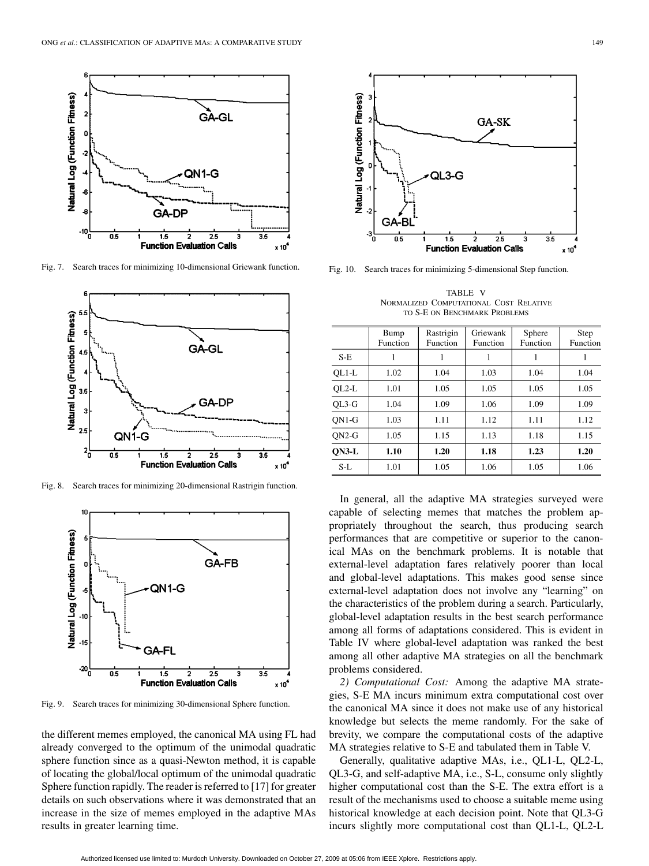

Fig. 7. Search traces for minimizing 10-dimensional Griewank function.



Fig. 8. Search traces for minimizing 20-dimensional Rastrigin function.



Fig. 9. Search traces for minimizing 30-dimensional Sphere function.

the different memes employed, the canonical MA using FL had already converged to the optimum of the unimodal quadratic sphere function since as a quasi-Newton method, it is capable of locating the global/local optimum of the unimodal quadratic Sphere function rapidly. The reader is referred to [\[17](#page-10-0)] for greater details on such observations where it was demonstrated that an increase in the size of memes employed in the adaptive MAs results in greater learning time.



Fig. 10. Search traces for minimizing 5-dimensional Step function.

TABLE V NORMALIZED COMPUTATIONAL COST RELATIVE TO S-E ON BENCHMARK PROBLEMS

|         | Bump<br>Function | Rastrigin<br>Function | Griewank<br>Function | Sphere<br>Function | Step<br>Function |
|---------|------------------|-----------------------|----------------------|--------------------|------------------|
| $S-E$   |                  |                       |                      |                    |                  |
| $QL1-L$ | 1.02             | 1.04                  | 1.03                 | 1.04               | 1.04             |
| $QL2-L$ | 1.01             | 1.05                  | 1.05                 | 1.05               | 1.05             |
| $OL3-G$ | 1.04             | 1.09                  | 1.06                 | 1.09               | 1.09             |
| $ON1-G$ | 1.03             | 1.11                  | 1.12                 | 1.11               | 1.12             |
| $ON2-G$ | 1.05             | 1.15                  | 1.13                 | 1.18               | 1.15             |
| $ON3-L$ | 1.10             | 1.20                  | 1.18                 | 1.23               | 1.20             |
| $S-L$   | 1.01             | 1.05                  | 1.06                 | 1.05               | 1.06             |

In general, all the adaptive MA strategies surveyed were capable of selecting memes that matches the problem appropriately throughout the search, thus producing search performances that are competitive or superior to the canonical MAs on the benchmark problems. It is notable that external-level adaptation fares relatively poorer than local and global-level adaptations. This makes good sense since external-level adaptation does not involve any "learning" on the characteristics of the problem during a search. Particularly, global-level adaptation results in the best search performance among all forms of adaptations considered. This is evident in Table IV where global-level adaptation was ranked the best among all other adaptive MA strategies on all the benchmark problems considered.

*2) Computational Cost:* Among the adaptive MA strategies, S-E MA incurs minimum extra computational cost over the canonical MA since it does not make use of any historical knowledge but selects the meme randomly. For the sake of brevity, we compare the computational costs of the adaptive MA strategies relative to S-E and tabulated them in Table V.

Generally, qualitative adaptive MAs, i.e., QL1-L, QL2-L, QL3-G, and self-adaptive MA, i.e., S-L, consume only slightly higher computational cost than the S-E. The extra effort is a result of the mechanisms used to choose a suitable meme using historical knowledge at each decision point. Note that QL3-G incurs slightly more computational cost than QL1-L, QL2-L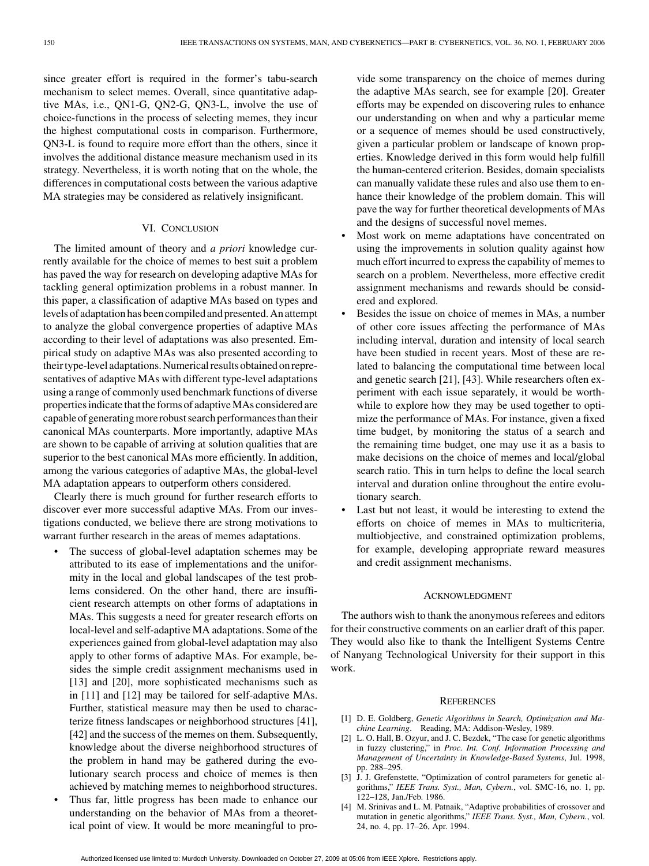<span id="page-9-0"></span>since greater effort is required in the former's tabu-search mechanism to select memes. Overall, since quantitative adaptive MAs, i.e., QN1-G, QN2-G, QN3-L, involve the use of choice-functions in the process of selecting memes, they incur the highest computational costs in comparison. Furthermore, QN3-L is found to require more effort than the others, since it involves the additional distance measure mechanism used in its strategy. Nevertheless, it is worth noting that on the whole, the differences in computational costs between the various adaptive MA strategies may be considered as relatively insignificant.

# VI. CONCLUSION

The limited amount of theory and *a priori* knowledge currently available for the choice of memes to best suit a problem has paved the way for research on developing adaptive MAs for tackling general optimization problems in a robust manner. In this paper, a classification of adaptive MAs based on types and levels of adaptation has been compiled and presented. An attempt to analyze the global convergence properties of adaptive MAs according to their level of adaptations was also presented. Empirical study on adaptive MAs was also presented according to their type-level adaptations. Numerical results obtained on representatives of adaptive MAs with different type-level adaptations using a range of commonly used benchmark functions of diverse properties indicate that the forms of adaptive MAs considered are capable of generating more robust search performances than their canonical MAs counterparts. More importantly, adaptive MAs are shown to be capable of arriving at solution qualities that are superior to the best canonical MAs more efficiently. In addition, among the various categories of adaptive MAs, the global-level MA adaptation appears to outperform others considered.

Clearly there is much ground for further research efforts to discover ever more successful adaptive MAs. From our investigations conducted, we believe there are strong motivations to warrant further research in the areas of memes adaptations.

- The success of global-level adaptation schemes may be attributed to its ease of implementations and the uniformity in the local and global landscapes of the test problems considered. On the other hand, there are insufficient research attempts on other forms of adaptations in MAs. This suggests a need for greater research efforts on local-level and self-adaptive MA adaptations. Some of the experiences gained from global-level adaptation may also apply to other forms of adaptive MAs. For example, besides the simple credit assignment mechanisms used in [[13\]](#page-10-0) and [\[20\]](#page-10-0), more sophisticated mechanisms such as in [[11\]](#page-10-0) and [\[12](#page-10-0)] may be tailored for self-adaptive MAs. Further, statistical measure may then be used to characterize fitness landscapes or neighborhood structures [[41\]](#page-10-0), [[42\]](#page-10-0) and the success of the memes on them. Subsequently, knowledge about the diverse neighborhood structures of the problem in hand may be gathered during the evolutionary search process and choice of memes is then achieved by matching memes to neighborhood structures.
- Thus far, little progress has been made to enhance our understanding on the behavior of MAs from a theoretical point of view. It would be more meaningful to pro-

vide some transparency on the choice of memes during the adaptive MAs search, see for example [[20\]](#page-10-0). Greater efforts may be expended on discovering rules to enhance our understanding on when and why a particular meme or a sequence of memes should be used constructively, given a particular problem or landscape of known properties. Knowledge derived in this form would help fulfill the human-centered criterion. Besides, domain specialists can manually validate these rules and also use them to enhance their knowledge of the problem domain. This will pave the way for further theoretical developments of MAs and the designs of successful novel memes.

- Most work on meme adaptations have concentrated on using the improvements in solution quality against how much effort incurred to express the capability of memes to search on a problem. Nevertheless, more effective credit assignment mechanisms and rewards should be considered and explored.
- Besides the issue on choice of memes in MAs, a number of other core issues affecting the performance of MAs including interval, duration and intensity of local search have been studied in recent years. Most of these are related to balancing the computational time between local and genetic search [\[21](#page-10-0)], [[43\]](#page-10-0). While researchers often experiment with each issue separately, it would be worthwhile to explore how they may be used together to optimize the performance of MAs. For instance, given a fixed time budget, by monitoring the status of a search and the remaining time budget, one may use it as a basis to make decisions on the choice of memes and local/global search ratio. This in turn helps to define the local search interval and duration online throughout the entire evolutionary search.
- Last but not least, it would be interesting to extend the efforts on choice of memes in MAs to multicriteria, multiobjective, and constrained optimization problems, for example, developing appropriate reward measures and credit assignment mechanisms.

#### ACKNOWLEDGMENT

The authors wish to thank the anonymous referees and editors for their constructive comments on an earlier draft of this paper. They would also like to thank the Intelligent Systems Centre of Nanyang Technological University for their support in this work.

#### **REFERENCES**

- [1] D. E. Goldberg, *Genetic Algorithms in Search, Optimization and Machine Learning*. Reading, MA: Addison-Wesley, 1989.
- [2] L. O. Hall, B. Ozyur, and J. C. Bezdek, "The case for genetic algorithms in fuzzy clustering," in *Proc. Int. Conf. Information Processing and Management of Uncertainty in Knowledge-Based Systems*, Jul. 1998, pp. 288–295.
- [3] J. J. Grefenstette, "Optimization of control parameters for genetic algorithms," *IEEE Trans. Syst., Man, Cybern.*, vol. SMC-16, no. 1, pp. 122–128, Jan./Feb. 1986.
- [4] M. Srinivas and L. M. Patnaik, "Adaptive probabilities of crossover and mutation in genetic algorithms," *IEEE Trans. Syst., Man, Cybern.*, vol. 24, no. 4, pp. 17–26, Apr. 1994.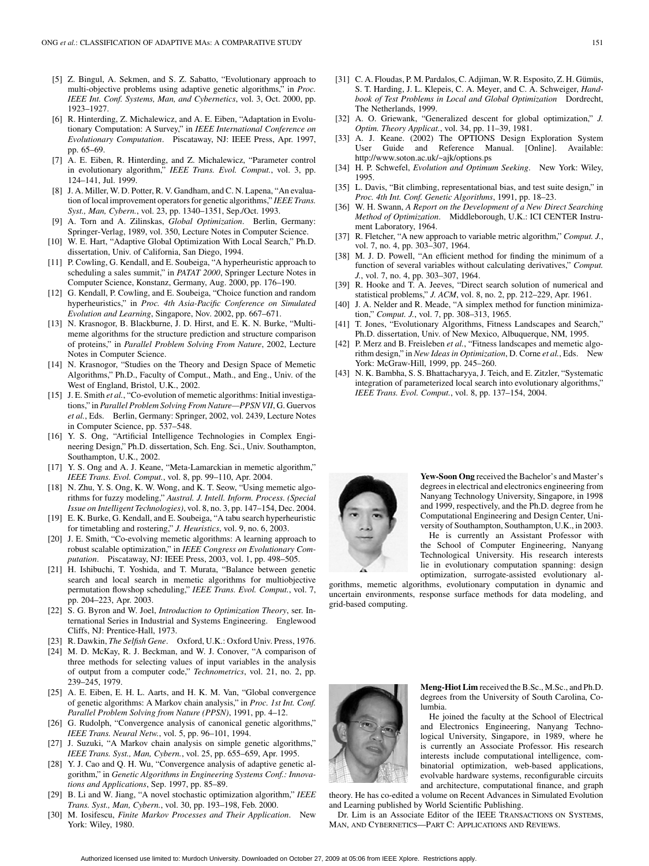- <span id="page-10-0"></span>[5] Z. Bingul, A. Sekmen, and S. Z. Sabatto, "Evolutionary approach to multi-objective problems using adaptive genetic algorithms," in *Proc. IEEE Int. Conf. Systems, Man, and Cybernetics*, vol. 3, Oct. 2000, pp. 1923–1927.
- [6] R. Hinterding, Z. Michalewicz, and A. E. Eiben, "Adaptation in Evolutionary Computation: A Survey," in *IEEE International Conference on Evolutionary Computation*. Piscataway, NJ: IEEE Press, Apr. 1997, pp. 65–69.
- [7] A. E. Eiben, R. Hinterding, and Z. Michalewicz, "Parameter control in evolutionary algorithm," *IEEE Trans. Evol. Comput.*, vol. 3, pp. 124–141, Jul. 1999.
- [8] J. A. Miller, W. D. Potter, R. V. Gandham, and C. N. Lapena, "An evaluation of local improvement operators for genetic algorithms," *IEEE Trans. Syst., Man, Cybern.*, vol. 23, pp. 1340–1351, Sep./Oct. 1993.
- [9] A. Torn and A. Zilinskas, *Global Optimization*. Berlin, Germany: Springer-Verlag, 1989, vol. 350, Lecture Notes in Computer Science.
- [10] W. E. Hart, "Adaptive Global Optimization With Local Search," Ph.D. dissertation, Univ. of California, San Diego, 1994.
- [11] P. Cowling, G. Kendall, and E. Soubeiga, "A hyperheuristic approach to scheduling a sales summit," in *PATAT 2000*, Springer Lecture Notes in Computer Science, Konstanz, Germany, Aug. 2000, pp. 176–190.
- [12] G. Kendall, P. Cowling, and E. Soubeiga, "Choice function and random hyperheuristics," in *Proc. 4th Asia-Pacific Conference on Simulated Evolution and Learning*, Singapore, Nov. 2002, pp. 667–671.
- [13] N. Krasnogor, B. Blackburne, J. D. Hirst, and E. K. N. Burke, "Multimeme algorithms for the structure prediction and structure comparison of proteins," in *Parallel Problem Solving From Nature*, 2002, Lecture Notes in Computer Science.
- [14] N. Krasnogor, "Studies on the Theory and Design Space of Memetic Algorithms," Ph.D., Faculty of Comput., Math., and Eng., Univ. of the West of England, Bristol, U.K., 2002.
- [15] J. E. Smith *et al.*, "Co-evolution of memetic algorithms: Initial investigations," in *Parallel Problem Solving From Nature—PPSN VII*, G. Guervos *et al.*, Eds. Berlin, Germany: Springer, 2002, vol. 2439, Lecture Notes in Computer Science, pp. 537–548.
- [16] Y. S. Ong, "Artificial Intelligence Technologies in Complex Engineering Design," Ph.D. dissertation, Sch. Eng. Sci., Univ. Southampton, Southampton, U.K., 2002.
- [17] Y. S. Ong and A. J. Keane, "Meta-Lamarckian in memetic algorithm," *IEEE Trans. Evol. Comput.*, vol. 8, pp. 99–110, Apr. 2004.
- [18] N. Zhu, Y. S. Ong, K. W. Wong, and K. T. Seow, "Using memetic algorithms for fuzzy modeling," *Austral. J. Intell. Inform. Process. (Special Issue on Intelligent Technologies)*, vol. 8, no. 3, pp. 147–154, Dec. 2004.
- E. K. Burke, G. Kendall, and E. Soubeiga, "A tabu search hyperheuristic for timetabling and rostering," *J. Heuristics*, vol. 9, no. 6, 2003.
- [20] J. E. Smith, "Co-evolving memetic algorithms: A learning approach to robust scalable optimization," in *IEEE Congress on Evolutionary Computation*. Piscataway, NJ: IEEE Press, 2003, vol. 1, pp. 498–505.
- [21] H. Ishibuchi, T. Yoshida, and T. Murata, "Balance between genetic search and local search in memetic algorithms for multiobjective permutation flowshop scheduling," *IEEE Trans. Evol. Comput.*, vol. 7, pp. 204–223, Apr. 2003.
- [22] S. G. Byron and W. Joel, *Introduction to Optimization Theory*, ser. International Series in Industrial and Systems Engineering. Englewood Cliffs, NJ: Prentice-Hall, 1973.
- [23] R. Dawkin, *The Selfish Gene*. Oxford, U.K.: Oxford Univ. Press, 1976.
- [24] M. D. McKay, R. J. Beckman, and W. J. Conover, "A comparison of three methods for selecting values of input variables in the analysis of output from a computer code," *Technometrics*, vol. 21, no. 2, pp. 239–245, 1979.
- [25] A. E. Eiben, E. H. L. Aarts, and H. K. M. Van, "Global convergence of genetic algorithms: A Markov chain analysis," in *Proc. 1st Int. Conf. Parallel Problem Solving from Nature (PPSN)*, 1991, pp. 4–12.
- [26] G. Rudolph, "Convergence analysis of canonical genetic algorithms," *IEEE Trans. Neural Netw.*, vol. 5, pp. 96–101, 1994.
- [27] J. Suzuki, "A Markov chain analysis on simple genetic algorithms," *IEEE Trans. Syst., Man, Cybern.*, vol. 25, pp. 655–659, Apr. 1995.
- [28] Y. J. Cao and Q. H. Wu, "Convergence analysis of adaptive genetic algorithm," in *Genetic Algorithms in Engineering Systems Conf.: Innovations and Applications*, Sep. 1997, pp. 85–89.
- [29] B. Li and W. Jiang, "A novel stochastic optimization algorithm," *IEEE Trans. Syst., Man, Cybern.*, vol. 30, pp. 193–198, Feb. 2000.
- [30] M. Iosifescu, *Finite Markov Processes and Their Application*. New York: Wiley, 1980.
- [31] C. A. Floudas, P. M. Pardalos, C. Adjiman, W. R. Esposito, Z. H. Gümüs, S. T. Harding, J. L. Klepeis, C. A. Meyer, and C. A. Schweiger, *Handbook of Test Problems in Local and Global Optimization* Dordrecht, The Netherlands, 1999.
- [32] A. O. Griewank, "Generalized descent for global optimization," *J. Optim. Theory Applicat.*, vol. 34, pp. 11–39, 1981.
- [33] A. J. Keane. (2002) The OPTIONS Design Exploration System User Guide and Reference Manual. [Online]. Available: http://www.soton.ac.uk/~ajk/options.ps
- [34] H. P. Schwefel, *Evolution and Optimum Seeking*. New York: Wiley, 1995.
- [35] L. Davis, "Bit climbing, representational bias, and test suite design," in *Proc. 4th Int. Conf. Genetic Algorithms*, 1991, pp. 18–23.
- [36] W. H. Swann, *A Report on the Development of a New Direct Searching Method of Optimization*. Middleborough, U.K.: ICI CENTER Instrument Laboratory, 1964.
- [37] R. Fletcher, "A new approach to variable metric algorithm," *Comput. J.*, vol. 7, no. 4, pp. 303–307, 1964.
- [38] M. J. D. Powell, "An efficient method for finding the minimum of a function of several variables without calculating derivatives," *Comput. J.*, vol. 7, no. 4, pp. 303–307, 1964.
- [39] R. Hooke and T. A. Jeeves, "Direct search solution of numerical and statistical problems," *J. ACM*, vol. 8, no. 2, pp. 212–229, Apr. 1961.
- [40] J. A. Nelder and R. Meade, "A simplex method for function minimization," *Comput. J.*, vol. 7, pp. 308–313, 1965.
- [41] T. Jones, "Evolutionary Algorithms, Fitness Landscapes and Search," Ph.D. dissertation, Univ. of New Mexico, Albuquerque, NM, 1995.
- [42] P. Merz and B. Freisleben et al., "Fitness landscapes and memetic algorithm design," in *New Ideas in Optimization*, D. Corne *et al.*, Eds. New York: McGraw-Hill, 1999, pp. 245–260.
- [43] N. K. Bambha, S. S. Bhattacharyya, J. Teich, and E. Zitzler, "Systematic integration of parameterized local search into evolutionary algorithms," *IEEE Trans. Evol. Comput.*, vol. 8, pp. 137–154, 2004.



**Yew-Soon Ong** received the Bachelor's and Master's degrees in electrical and electronics engineering from Nanyang Technology University, Singapore, in 1998 and 1999, respectively, and the Ph.D. degree from he Computational Engineering and Design Center, University of Southampton, Southampton, U.K., in 2003.

He is currently an Assistant Professor with the School of Computer Engineering, Nanyang Technological University. His research interests lie in evolutionary computation spanning: design optimization, surrogate-assisted evolutionary al-

gorithms, memetic algorithms, evolutionary computation in dynamic and uncertain environments, response surface methods for data modeling, and grid-based computing.



**Meng-Hiot Lim** received the B.Sc., M.Sc., and Ph.D. degrees from the University of South Carolina, Columbia.

He joined the faculty at the School of Electrical and Electronics Engineering, Nanyang Technological University, Singapore, in 1989, where he is currently an Associate Professor. His research interests include computational intelligence, combinatorial optimization, web-based applications, evolvable hardware systems, reconfigurable circuits and architecture, computational finance, and graph

theory. He has co-edited a volume on Recent Advances in Simulated Evolution and Learning published by World Scientific Publishing.

Dr. Lim is an Associate Editor of the IEEE TRANSACTIONS ON SYSTEMS, MAN, AND CYBERNETICS—PART C: APPLICATIONS AND REVIEWS.